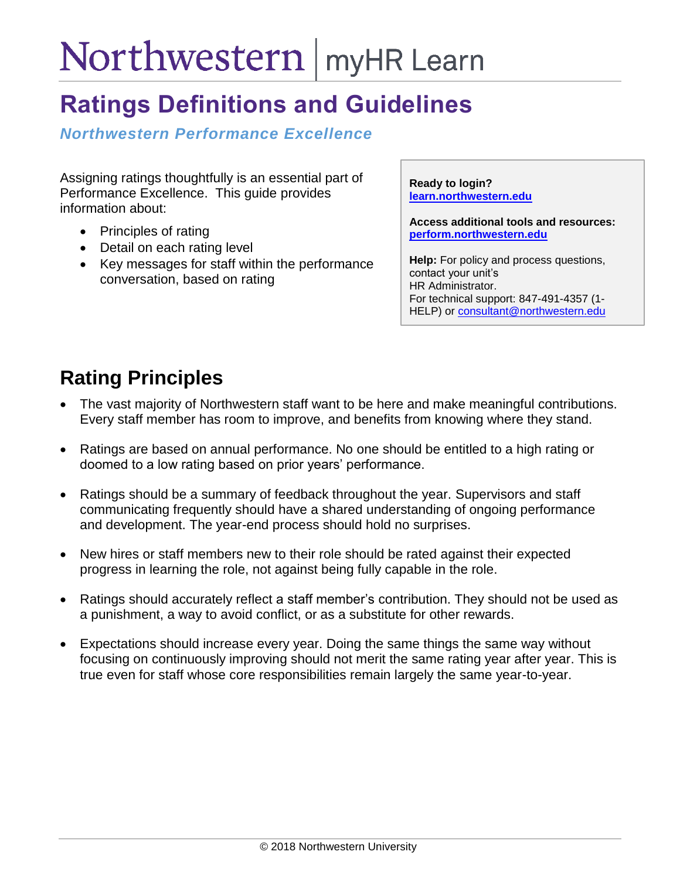# Northwestern | myHR Learn

## **Ratings Definitions and Guidelines**

*Northwestern Performance Excellence* 

Assigning ratings thoughtfully is an essential part of Performance Excellence. This guide provides information about:

- Principles of rating
- Detail on each rating level
- Key messages for staff within the performance conversation, based on rating

**Ready to login? [learn.northwestern.edu](http://learn.northwestern.edu/)**

**Access additional tools and resources: [perform.northwestern.edu](http://perform.northwestern.edu/)**

**Help:** For policy and process questions, contact your unit's HR Administrator. For technical support: 847-491-4357 (1 HELP) or [consultant@northwestern.edu](mailto:consultant@northwestern.edu)

### **Rating Principles**

- The vast majority of Northwestern staff want to be here and make meaningful contributions. Every staff member has room to improve, and benefits from knowing where they stand.
- Ratings are based on annual performance. No one should be entitled to a high rating or doomed to a low rating based on prior years' performance.
- Ratings should be a summary of feedback throughout the year. Supervisors and staff communicating frequently should have a shared understanding of ongoing performance and development. The year-end process should hold no surprises.
- New hires or staff members new to their role should be rated against their expected progress in learning the role, not against being fully capable in the role.
- Ratings should accurately reflect a staff member's contribution. They should not be used as a punishment, a way to avoid conflict, or as a substitute for other rewards.
- Expectations should increase every year. Doing the same things the same way without focusing on continuously improving should not merit the same rating year after year. This is true even for staff whose core responsibilities remain largely the same year-to-year.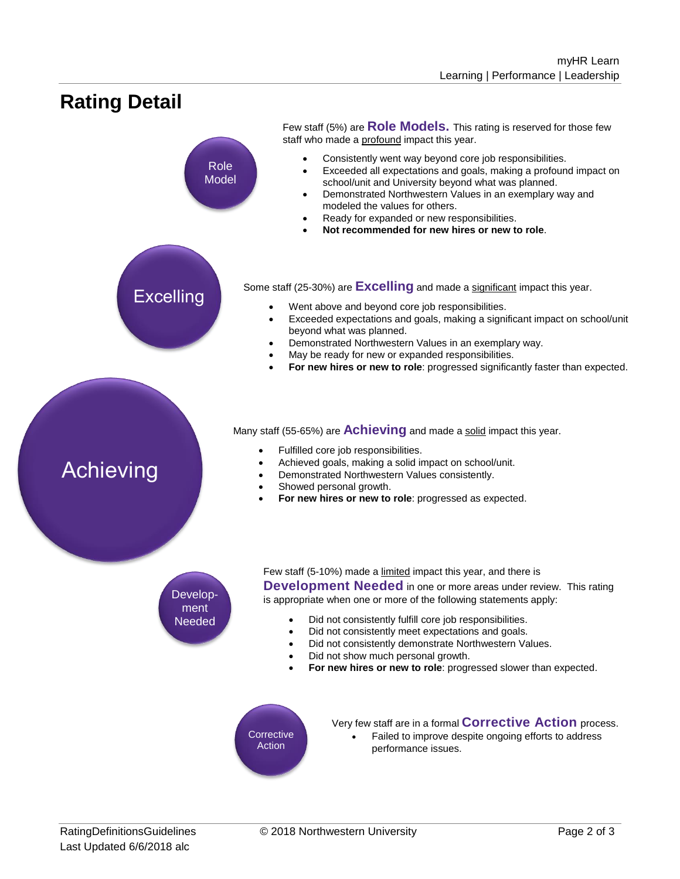